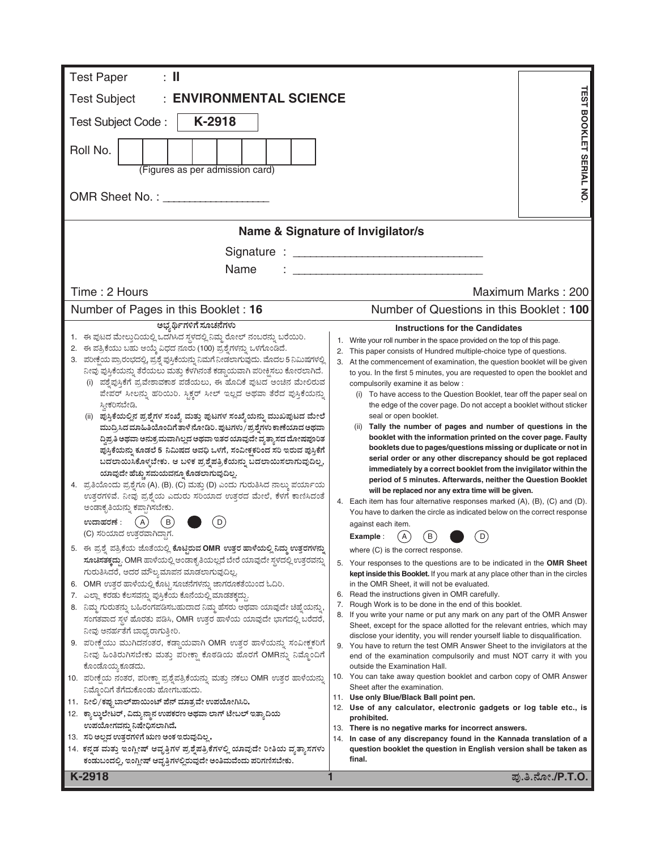| <b>ENVIRONMENTAL SCIENCE</b><br><b>Test Subject</b><br>K-2918<br>Test Subject Code:<br>Roll No.<br>(Figures as per admission card)<br>Name & Signature of Invigilator/s<br>Name<br>Time: 2 Hours<br>Number of Pages in this Booklet: 16<br>ಅಭ್ಯರ್ಥಿಗಳಿಗೆ ಸೂಚನೆಗಳು<br><b>Instructions for the Candidates</b><br>1. ಈ ಪುಟದ ಮೇಲ್ತುದಿಯಲ್ಲಿ ಒದಗಿಸಿದ ಸ್ಥಳದಲ್ಲಿ ನಿಮ್ಮ ರೋಲ್ ನಂಬರನ್ನು ಬರೆಯಿರಿ.<br>Write your roll number in the space provided on the top of this page.<br>1.<br>2. ಈ ಪತ್ರಿಕೆಯು ಬಹು ಆಯ್ಕೆ ವಿಧದ ನೂರು (100) ಪ್ರಶ್ನೆಗಳನ್ನು ಒಳಗೊಂಡಿದೆ.<br>This paper consists of Hundred multiple-choice type of questions.<br>3. ಪರೀಕ್ಷೆಯ ಪ್ರಾರಂಭದಲ್ಲಿ, ಪ್ರಶ್ನೆ ಪುಸ್ತಿಕೆಯನ್ನು ನಿಮಗೆ ನೀಡಲಾಗುವುದು. ಮೊದಲ 5 ನಿಮಿಷಗಳಲ್ಲಿ<br>ನೀವು ಪುಸ್ತಿಕೆಯನ್ನು ತೆರೆಯಲು ಮತ್ತು ಕೆಳಗಿನಂತೆ ಕಡ್ಡಾಯವಾಗಿ ಪರೀಕ್ಷಿಸಲು ಕೋರಲಾಗಿದೆ.<br>(i) ಪಶ್ವೆಪುಸ್ತಿಕೆಗೆ ಪ್ರವೇಶಾವಕಾಶ ಪಡೆಯಲು, ಈ ಹೊದಿಕೆ ಪುಟದ ಅಂಚಿನ ಮೇಲಿರುವ<br>compulsorily examine it as below :<br>ಪೇಪರ್ ಸೀಲನ್ನು ಹರಿಯಿರಿ. ಸ್ಟಿಕ್ಕರ್ ಸೀಲ್ ಇಲ್ಲದ ಅಥವಾ ತೆರೆದ ಪುಸ್ತಿಕೆಯನ್ನು<br>ಸ್ತೀಕರಿಸಬೇಡಿ.<br>seal or open booklet.<br>(ii) ಪುಸ್ತಿಕೆಯಲ್ಲಿನ ಪ್ರಶ್ನೆಗಳ ಸಂಖ್ಯೆ ಮತ್ತು ಪುಟಗಳ ಸಂಖ್ಯೆಯನ್ನು ಮುಖಪುಟದ ಮೇಲೆ<br>(ii) Tally the number of pages and number of questions in the<br>ಮುದ್ರಿಸಿದ ಮಾಹಿತಿಯೊಂದಿಗೆ ತಾಳೆ ನೋಡಿರಿ. ಪುಟಗಳು/ಪ್ರಶ್ನೆಗಳು ಕಾಣೆಯಾದ ಅಥವಾ<br>ದ್ಧಿಪ್ರತಿ ಅಥವಾ ಅನುಕ್ರಮವಾಗಿಲ್ಲದ ಅಥವಾ ಇತರ ಯಾವುದೇ ವ್ಯತ್ಯಾಸದ ದೋಷಪೂರಿತ<br>ಪುಸ್ತಿಕೆಯನ್ನು ಕೂಡಲೆ 5 ನಿಮಿಷದ ಅವಧಿ ಒಳಗೆ, ಸಂವೀಕ್ಷಕರಿಂದ ಸರಿ ಇರುವ ಪುಸ್ತಿಕೆಗೆ<br>serial order or any other discrepancy should be got replaced<br>ಬದಲಾಯಿಸಿಕೊಳ್ಳಬೇಕು. ಆ ಬಳಿಕ ಪ್ರಶ್ನೆಪತ್ರಿಕೆಯನ್ನು ಬದಲಾಯಿಸಲಾಗುವುದಿಲ್ಲ,<br>ಯಾವುದೇ ಹೆಚ್ಚು ಸಮಯವನ್ನೂ ಕೊಡಲಾಗುವುದಿಲ್ಲ.<br>4. ಪ್ರತಿಯೊಂದು ಪ್ರಶ್ನೆಗೂ (A), (B), (C) ಮತ್ತು (D) ಎಂದು ಗುರುತಿಸಿದ ನಾಲ್ಕು ಪರ್ಯಾಯ<br>will be replaced nor any extra time will be given.<br>ಉತ್ತರಗಳಿವೆ. ನೀವು ಪ್ರಶ್ನೆಯ ಎದುರು ಸರಿಯಾದ ಉತ್ತರದ ಮೇಲೆ, ಕೆಳಗೆ ಕಾಣಿಸಿದಂತೆ<br>ಅಂಡಾಕೃತಿಯನ್ನು ಕಪ್ಪಾಗಿಸಬೇಕು.<br>( A )<br>D<br>ಉದಾಹರಣೆ :<br>В<br>against each item.<br>(C) ಸರಿಯಾದ ಉತ್ತರವಾಗಿದ್ದಾಗ.<br>$\left( \mathsf{B}\right)$<br>$\mathsf{A}$<br>D<br>Example :<br>5. ಈ ಪ್ರಶ್ನೆ ಪತ್ರಿಕೆಯ ಜೊತೆಯಲ್ಲಿ ಕೊಟ್ಟಿರುವ OMR ಉತ್ತರ ಹಾಳೆಯಲ್ಲಿ ನಿಮ್ಮ ಉತ್ತರಗಳನ್ನು<br>where (C) is the correct response.<br>ಸೂಚಿಸತಕ್ಕದ್ದು. OMR ಹಾಳೆಯಲ್ಲಿ ಅಂಡಾಕೃತಿಯಲ್ಲದೆ ಬೇರೆ ಯಾವುದೇ ಸ್ಥಳದಲ್ಲಿ ಉತ್ತರವನ್ನು<br>ಗುರುತಿಸಿದರೆ, ಅದರ ಮೌಲ್ಯಮಾಪನ ಮಾಡಲಾಗುವುದಿಲ್ಲ.<br>6. OMR ಉತ್ತರ ಹಾಳೆಯಲ್ಲಿ ಕೊಟ್ಟ ಸೂಚನೆಗಳನ್ನು ಜಾಗರೂಕತೆಯಿಂದ ಓದಿರಿ.<br>in the OMR Sheet, it will not be evaluated.<br>6. Read the instructions given in OMR carefully.<br>7.   ಎಲ್ಲಾ ಕರಡು ಕೆಲಸವನ್ನು ಪುಸ್ತಿಕೆಯ ಕೊನೆಯಲ್ಲಿ ಮಾಡತಕ್ಕದ್ದು.<br>Rough Work is to be done in the end of this booklet.<br>7.<br>8. ನಿಮ್ಮ ಗುರುತನ್ನು ಬಹಿರಂಗಪಡಿಸಬಹುದಾದ ನಿಮ್ಮ ಹೆಸರು ಅಥವಾ ಯಾವುದೇ ಚಿಹ್ನೆಯನ್ನು,<br>If you write your name or put any mark on any part of the OMR Answer<br>ಸಂಗತವಾದ ಸ್ಥಳ ಹೊರತು ಪಡಿಸಿ, OMR ಉತ್ತರ ಹಾಳೆಯ ಯಾವುದೇ ಭಾಗದಲ್ಲಿ ಬರೆದರೆ, | $\colon \mathbb{I}$<br><b>Test Paper</b> |                                                                                                                                                  |
|------------------------------------------------------------------------------------------------------------------------------------------------------------------------------------------------------------------------------------------------------------------------------------------------------------------------------------------------------------------------------------------------------------------------------------------------------------------------------------------------------------------------------------------------------------------------------------------------------------------------------------------------------------------------------------------------------------------------------------------------------------------------------------------------------------------------------------------------------------------------------------------------------------------------------------------------------------------------------------------------------------------------------------------------------------------------------------------------------------------------------------------------------------------------------------------------------------------------------------------------------------------------------------------------------------------------------------------------------------------------------------------------------------------------------------------------------------------------------------------------------------------------------------------------------------------------------------------------------------------------------------------------------------------------------------------------------------------------------------------------------------------------------------------------------------------------------------------------------------------------------------------------------------------------------------------------------------------------------------------------------------------------------------------------------------------------------------------------------------------------------------------------------------------------------------------------------------------------------------------------------------------------------------------------------------------------------------------------------------------------------------------------------------------------------------------------------------------------------------------------------------------------------------------------------------------------------------------------------------------------------------------------------------------------------------------------------------------------------------------------------------|------------------------------------------|--------------------------------------------------------------------------------------------------------------------------------------------------|
|                                                                                                                                                                                                                                                                                                                                                                                                                                                                                                                                                                                                                                                                                                                                                                                                                                                                                                                                                                                                                                                                                                                                                                                                                                                                                                                                                                                                                                                                                                                                                                                                                                                                                                                                                                                                                                                                                                                                                                                                                                                                                                                                                                                                                                                                                                                                                                                                                                                                                                                                                                                                                                                                                                                                                            |                                          |                                                                                                                                                  |
|                                                                                                                                                                                                                                                                                                                                                                                                                                                                                                                                                                                                                                                                                                                                                                                                                                                                                                                                                                                                                                                                                                                                                                                                                                                                                                                                                                                                                                                                                                                                                                                                                                                                                                                                                                                                                                                                                                                                                                                                                                                                                                                                                                                                                                                                                                                                                                                                                                                                                                                                                                                                                                                                                                                                                            |                                          |                                                                                                                                                  |
|                                                                                                                                                                                                                                                                                                                                                                                                                                                                                                                                                                                                                                                                                                                                                                                                                                                                                                                                                                                                                                                                                                                                                                                                                                                                                                                                                                                                                                                                                                                                                                                                                                                                                                                                                                                                                                                                                                                                                                                                                                                                                                                                                                                                                                                                                                                                                                                                                                                                                                                                                                                                                                                                                                                                                            |                                          |                                                                                                                                                  |
|                                                                                                                                                                                                                                                                                                                                                                                                                                                                                                                                                                                                                                                                                                                                                                                                                                                                                                                                                                                                                                                                                                                                                                                                                                                                                                                                                                                                                                                                                                                                                                                                                                                                                                                                                                                                                                                                                                                                                                                                                                                                                                                                                                                                                                                                                                                                                                                                                                                                                                                                                                                                                                                                                                                                                            |                                          |                                                                                                                                                  |
|                                                                                                                                                                                                                                                                                                                                                                                                                                                                                                                                                                                                                                                                                                                                                                                                                                                                                                                                                                                                                                                                                                                                                                                                                                                                                                                                                                                                                                                                                                                                                                                                                                                                                                                                                                                                                                                                                                                                                                                                                                                                                                                                                                                                                                                                                                                                                                                                                                                                                                                                                                                                                                                                                                                                                            |                                          | <b><i>TEST BOOKLET SERIAL NO</i></b>                                                                                                             |
|                                                                                                                                                                                                                                                                                                                                                                                                                                                                                                                                                                                                                                                                                                                                                                                                                                                                                                                                                                                                                                                                                                                                                                                                                                                                                                                                                                                                                                                                                                                                                                                                                                                                                                                                                                                                                                                                                                                                                                                                                                                                                                                                                                                                                                                                                                                                                                                                                                                                                                                                                                                                                                                                                                                                                            |                                          |                                                                                                                                                  |
|                                                                                                                                                                                                                                                                                                                                                                                                                                                                                                                                                                                                                                                                                                                                                                                                                                                                                                                                                                                                                                                                                                                                                                                                                                                                                                                                                                                                                                                                                                                                                                                                                                                                                                                                                                                                                                                                                                                                                                                                                                                                                                                                                                                                                                                                                                                                                                                                                                                                                                                                                                                                                                                                                                                                                            |                                          |                                                                                                                                                  |
|                                                                                                                                                                                                                                                                                                                                                                                                                                                                                                                                                                                                                                                                                                                                                                                                                                                                                                                                                                                                                                                                                                                                                                                                                                                                                                                                                                                                                                                                                                                                                                                                                                                                                                                                                                                                                                                                                                                                                                                                                                                                                                                                                                                                                                                                                                                                                                                                                                                                                                                                                                                                                                                                                                                                                            |                                          |                                                                                                                                                  |
|                                                                                                                                                                                                                                                                                                                                                                                                                                                                                                                                                                                                                                                                                                                                                                                                                                                                                                                                                                                                                                                                                                                                                                                                                                                                                                                                                                                                                                                                                                                                                                                                                                                                                                                                                                                                                                                                                                                                                                                                                                                                                                                                                                                                                                                                                                                                                                                                                                                                                                                                                                                                                                                                                                                                                            |                                          | Maximum Marks: 200                                                                                                                               |
|                                                                                                                                                                                                                                                                                                                                                                                                                                                                                                                                                                                                                                                                                                                                                                                                                                                                                                                                                                                                                                                                                                                                                                                                                                                                                                                                                                                                                                                                                                                                                                                                                                                                                                                                                                                                                                                                                                                                                                                                                                                                                                                                                                                                                                                                                                                                                                                                                                                                                                                                                                                                                                                                                                                                                            |                                          | Number of Questions in this Booklet: 100                                                                                                         |
|                                                                                                                                                                                                                                                                                                                                                                                                                                                                                                                                                                                                                                                                                                                                                                                                                                                                                                                                                                                                                                                                                                                                                                                                                                                                                                                                                                                                                                                                                                                                                                                                                                                                                                                                                                                                                                                                                                                                                                                                                                                                                                                                                                                                                                                                                                                                                                                                                                                                                                                                                                                                                                                                                                                                                            |                                          |                                                                                                                                                  |
|                                                                                                                                                                                                                                                                                                                                                                                                                                                                                                                                                                                                                                                                                                                                                                                                                                                                                                                                                                                                                                                                                                                                                                                                                                                                                                                                                                                                                                                                                                                                                                                                                                                                                                                                                                                                                                                                                                                                                                                                                                                                                                                                                                                                                                                                                                                                                                                                                                                                                                                                                                                                                                                                                                                                                            |                                          |                                                                                                                                                  |
|                                                                                                                                                                                                                                                                                                                                                                                                                                                                                                                                                                                                                                                                                                                                                                                                                                                                                                                                                                                                                                                                                                                                                                                                                                                                                                                                                                                                                                                                                                                                                                                                                                                                                                                                                                                                                                                                                                                                                                                                                                                                                                                                                                                                                                                                                                                                                                                                                                                                                                                                                                                                                                                                                                                                                            |                                          | 3. At the commencement of examination, the question booklet will be given                                                                        |
|                                                                                                                                                                                                                                                                                                                                                                                                                                                                                                                                                                                                                                                                                                                                                                                                                                                                                                                                                                                                                                                                                                                                                                                                                                                                                                                                                                                                                                                                                                                                                                                                                                                                                                                                                                                                                                                                                                                                                                                                                                                                                                                                                                                                                                                                                                                                                                                                                                                                                                                                                                                                                                                                                                                                                            |                                          | to you. In the first 5 minutes, you are requested to open the booklet and                                                                        |
|                                                                                                                                                                                                                                                                                                                                                                                                                                                                                                                                                                                                                                                                                                                                                                                                                                                                                                                                                                                                                                                                                                                                                                                                                                                                                                                                                                                                                                                                                                                                                                                                                                                                                                                                                                                                                                                                                                                                                                                                                                                                                                                                                                                                                                                                                                                                                                                                                                                                                                                                                                                                                                                                                                                                                            |                                          | (i) To have access to the Question Booklet, tear off the paper seal on                                                                           |
|                                                                                                                                                                                                                                                                                                                                                                                                                                                                                                                                                                                                                                                                                                                                                                                                                                                                                                                                                                                                                                                                                                                                                                                                                                                                                                                                                                                                                                                                                                                                                                                                                                                                                                                                                                                                                                                                                                                                                                                                                                                                                                                                                                                                                                                                                                                                                                                                                                                                                                                                                                                                                                                                                                                                                            |                                          | the edge of the cover page. Do not accept a booklet without sticker                                                                              |
|                                                                                                                                                                                                                                                                                                                                                                                                                                                                                                                                                                                                                                                                                                                                                                                                                                                                                                                                                                                                                                                                                                                                                                                                                                                                                                                                                                                                                                                                                                                                                                                                                                                                                                                                                                                                                                                                                                                                                                                                                                                                                                                                                                                                                                                                                                                                                                                                                                                                                                                                                                                                                                                                                                                                                            |                                          |                                                                                                                                                  |
|                                                                                                                                                                                                                                                                                                                                                                                                                                                                                                                                                                                                                                                                                                                                                                                                                                                                                                                                                                                                                                                                                                                                                                                                                                                                                                                                                                                                                                                                                                                                                                                                                                                                                                                                                                                                                                                                                                                                                                                                                                                                                                                                                                                                                                                                                                                                                                                                                                                                                                                                                                                                                                                                                                                                                            |                                          | booklet with the information printed on the cover page. Faulty                                                                                   |
|                                                                                                                                                                                                                                                                                                                                                                                                                                                                                                                                                                                                                                                                                                                                                                                                                                                                                                                                                                                                                                                                                                                                                                                                                                                                                                                                                                                                                                                                                                                                                                                                                                                                                                                                                                                                                                                                                                                                                                                                                                                                                                                                                                                                                                                                                                                                                                                                                                                                                                                                                                                                                                                                                                                                                            |                                          | booklets due to pages/questions missing or duplicate or not in                                                                                   |
|                                                                                                                                                                                                                                                                                                                                                                                                                                                                                                                                                                                                                                                                                                                                                                                                                                                                                                                                                                                                                                                                                                                                                                                                                                                                                                                                                                                                                                                                                                                                                                                                                                                                                                                                                                                                                                                                                                                                                                                                                                                                                                                                                                                                                                                                                                                                                                                                                                                                                                                                                                                                                                                                                                                                                            |                                          | immediately by a correct booklet from the invigilator within the                                                                                 |
|                                                                                                                                                                                                                                                                                                                                                                                                                                                                                                                                                                                                                                                                                                                                                                                                                                                                                                                                                                                                                                                                                                                                                                                                                                                                                                                                                                                                                                                                                                                                                                                                                                                                                                                                                                                                                                                                                                                                                                                                                                                                                                                                                                                                                                                                                                                                                                                                                                                                                                                                                                                                                                                                                                                                                            |                                          | period of 5 minutes. Afterwards, neither the Question Booklet                                                                                    |
|                                                                                                                                                                                                                                                                                                                                                                                                                                                                                                                                                                                                                                                                                                                                                                                                                                                                                                                                                                                                                                                                                                                                                                                                                                                                                                                                                                                                                                                                                                                                                                                                                                                                                                                                                                                                                                                                                                                                                                                                                                                                                                                                                                                                                                                                                                                                                                                                                                                                                                                                                                                                                                                                                                                                                            |                                          | 4. Each item has four alternative responses marked (A), (B), (C) and (D).                                                                        |
|                                                                                                                                                                                                                                                                                                                                                                                                                                                                                                                                                                                                                                                                                                                                                                                                                                                                                                                                                                                                                                                                                                                                                                                                                                                                                                                                                                                                                                                                                                                                                                                                                                                                                                                                                                                                                                                                                                                                                                                                                                                                                                                                                                                                                                                                                                                                                                                                                                                                                                                                                                                                                                                                                                                                                            |                                          | You have to darken the circle as indicated below on the correct response                                                                         |
|                                                                                                                                                                                                                                                                                                                                                                                                                                                                                                                                                                                                                                                                                                                                                                                                                                                                                                                                                                                                                                                                                                                                                                                                                                                                                                                                                                                                                                                                                                                                                                                                                                                                                                                                                                                                                                                                                                                                                                                                                                                                                                                                                                                                                                                                                                                                                                                                                                                                                                                                                                                                                                                                                                                                                            |                                          |                                                                                                                                                  |
|                                                                                                                                                                                                                                                                                                                                                                                                                                                                                                                                                                                                                                                                                                                                                                                                                                                                                                                                                                                                                                                                                                                                                                                                                                                                                                                                                                                                                                                                                                                                                                                                                                                                                                                                                                                                                                                                                                                                                                                                                                                                                                                                                                                                                                                                                                                                                                                                                                                                                                                                                                                                                                                                                                                                                            |                                          |                                                                                                                                                  |
|                                                                                                                                                                                                                                                                                                                                                                                                                                                                                                                                                                                                                                                                                                                                                                                                                                                                                                                                                                                                                                                                                                                                                                                                                                                                                                                                                                                                                                                                                                                                                                                                                                                                                                                                                                                                                                                                                                                                                                                                                                                                                                                                                                                                                                                                                                                                                                                                                                                                                                                                                                                                                                                                                                                                                            |                                          | 5. Your responses to the questions are to be indicated in the OMR Sheet                                                                          |
|                                                                                                                                                                                                                                                                                                                                                                                                                                                                                                                                                                                                                                                                                                                                                                                                                                                                                                                                                                                                                                                                                                                                                                                                                                                                                                                                                                                                                                                                                                                                                                                                                                                                                                                                                                                                                                                                                                                                                                                                                                                                                                                                                                                                                                                                                                                                                                                                                                                                                                                                                                                                                                                                                                                                                            |                                          | kept inside this Booklet. If you mark at any place other than in the circles                                                                     |
|                                                                                                                                                                                                                                                                                                                                                                                                                                                                                                                                                                                                                                                                                                                                                                                                                                                                                                                                                                                                                                                                                                                                                                                                                                                                                                                                                                                                                                                                                                                                                                                                                                                                                                                                                                                                                                                                                                                                                                                                                                                                                                                                                                                                                                                                                                                                                                                                                                                                                                                                                                                                                                                                                                                                                            |                                          |                                                                                                                                                  |
|                                                                                                                                                                                                                                                                                                                                                                                                                                                                                                                                                                                                                                                                                                                                                                                                                                                                                                                                                                                                                                                                                                                                                                                                                                                                                                                                                                                                                                                                                                                                                                                                                                                                                                                                                                                                                                                                                                                                                                                                                                                                                                                                                                                                                                                                                                                                                                                                                                                                                                                                                                                                                                                                                                                                                            |                                          |                                                                                                                                                  |
|                                                                                                                                                                                                                                                                                                                                                                                                                                                                                                                                                                                                                                                                                                                                                                                                                                                                                                                                                                                                                                                                                                                                                                                                                                                                                                                                                                                                                                                                                                                                                                                                                                                                                                                                                                                                                                                                                                                                                                                                                                                                                                                                                                                                                                                                                                                                                                                                                                                                                                                                                                                                                                                                                                                                                            |                                          | Sheet, except for the space allotted for the relevant entries, which may                                                                         |
| ನೀವು ಅನರ್ಹತೆಗೆ ಬಾಧ್ಯರಾಗುತ್ತೀರಿ.<br>9. ಪರೀಕ್ಷೆಯು ಮುಗಿದನಂತರ, ಕಡ್ಡಾಯವಾಗಿ OMR ಉತ್ತರ ಹಾಳೆಯನ್ನು ಸಂವೀಕ್ಷಕರಿಗೆ                                                                                                                                                                                                                                                                                                                                                                                                                                                                                                                                                                                                                                                                                                                                                                                                                                                                                                                                                                                                                                                                                                                                                                                                                                                                                                                                                                                                                                                                                                                                                                                                                                                                                                                                                                                                                                                                                                                                                                                                                                                                                                                                                                                                                                                                                                                                                                                                                                                                                                                                                                                                                                                     |                                          | disclose your identity, you will render yourself liable to disqualification.                                                                     |
| ನೀವು ಹಿಂತಿರುಗಿಸಬೇಕು ಮತ್ತು ಪರೀಕ್ಷಾ ಕೊಠಡಿಯ ಹೊರಗೆ OMRನ್ನು ನಿಮ್ಮೊಂದಿಗೆ                                                                                                                                                                                                                                                                                                                                                                                                                                                                                                                                                                                                                                                                                                                                                                                                                                                                                                                                                                                                                                                                                                                                                                                                                                                                                                                                                                                                                                                                                                                                                                                                                                                                                                                                                                                                                                                                                                                                                                                                                                                                                                                                                                                                                                                                                                                                                                                                                                                                                                                                                                                                                                                                                         |                                          | 9. You have to return the test OMR Answer Sheet to the invigilators at the<br>end of the examination compulsorily and must NOT carry it with you |
| ಕೊಂಡೊಯ್ತ ಕೂಡದು.<br>outside the Examination Hall.                                                                                                                                                                                                                                                                                                                                                                                                                                                                                                                                                                                                                                                                                                                                                                                                                                                                                                                                                                                                                                                                                                                                                                                                                                                                                                                                                                                                                                                                                                                                                                                                                                                                                                                                                                                                                                                                                                                                                                                                                                                                                                                                                                                                                                                                                                                                                                                                                                                                                                                                                                                                                                                                                                           |                                          |                                                                                                                                                  |
| 10. ಪರೀಕ್ಷೆಯ ನಂತರ, ಪರೀಕ್ಷಾ ಪ್ರಶ್ನೆಪತ್ರಿಕೆಯನ್ನು ಮತ್ತು ನಕಲು OMR ಉತ್ತರ ಹಾಳೆಯನ್ನು<br>Sheet after the examination.                                                                                                                                                                                                                                                                                                                                                                                                                                                                                                                                                                                                                                                                                                                                                                                                                                                                                                                                                                                                                                                                                                                                                                                                                                                                                                                                                                                                                                                                                                                                                                                                                                                                                                                                                                                                                                                                                                                                                                                                                                                                                                                                                                                                                                                                                                                                                                                                                                                                                                                                                                                                                                              |                                          | 10. You can take away question booklet and carbon copy of OMR Answer                                                                             |
| ನಿಮ್ಗೊಂದಿಗೆ ತೆಗೆದುಕೊಂಡು ಹೋಗಬಹುದು.<br>11. Use only Blue/Black Ball point pen.<br>11.   ನೀಲಿ / ಕಪ್ಪು ಬಾಲ್ ಪಾಯಿಂಟ್ ಪೆನ್ ಮಾತ್ರವೇ ಉಪಯೋಗಿಸಿರಿ.                                                                                                                                                                                                                                                                                                                                                                                                                                                                                                                                                                                                                                                                                                                                                                                                                                                                                                                                                                                                                                                                                                                                                                                                                                                                                                                                                                                                                                                                                                                                                                                                                                                                                                                                                                                                                                                                                                                                                                                                                                                                                                                                                                                                                                                                                                                                                                                                                                                                                                                                                                                                                   |                                          |                                                                                                                                                  |
| 12. ಕ್ಯಾಲ್ಕುಲೇಟರ್, ವಿದ್ಯುನ್ಮಾನ ಉಪಕರಣ ಅಥವಾ ಲಾಗ್ ಟೇಬಲ್ ಇತ್ಯಾದಿಯ<br>prohibited.                                                                                                                                                                                                                                                                                                                                                                                                                                                                                                                                                                                                                                                                                                                                                                                                                                                                                                                                                                                                                                                                                                                                                                                                                                                                                                                                                                                                                                                                                                                                                                                                                                                                                                                                                                                                                                                                                                                                                                                                                                                                                                                                                                                                                                                                                                                                                                                                                                                                                                                                                                                                                                                                               |                                          | 12. Use of any calculator, electronic gadgets or log table etc., is                                                                              |
| ಉಪಯೋಗವನ್ನು ನಿಷೇಧಿಸಲಾಗಿದೆ.<br>13. There is no negative marks for incorrect answers.                                                                                                                                                                                                                                                                                                                                                                                                                                                                                                                                                                                                                                                                                                                                                                                                                                                                                                                                                                                                                                                                                                                                                                                                                                                                                                                                                                                                                                                                                                                                                                                                                                                                                                                                                                                                                                                                                                                                                                                                                                                                                                                                                                                                                                                                                                                                                                                                                                                                                                                                                                                                                                                                         |                                          |                                                                                                                                                  |
| 13. ಸರಿ ಅಲ್ಲದ ಉತ್ತರಗಳಿಗೆ ಋಣ ಅಂಕ ಇರುವುದಿಲ್ಲ.<br>14.<br>14. ಕನ್ನಡ ಮತ್ತು ಇಂಗ್ಲೀಷ್ ಆವೃತ್ತಿಗಳ ಪ್ರಶ್ನೆಪತ್ರಿಕೆಗಳಲ್ಲಿ ಯಾವುದೇ ರೀತಿಯ ವ್ಯತ್ನಾಸಗಳು                                                                                                                                                                                                                                                                                                                                                                                                                                                                                                                                                                                                                                                                                                                                                                                                                                                                                                                                                                                                                                                                                                                                                                                                                                                                                                                                                                                                                                                                                                                                                                                                                                                                                                                                                                                                                                                                                                                                                                                                                                                                                                                                                                                                                                                                                                                                                                                                                                                                                                                                                                                                                     |                                          | In case of any discrepancy found in the Kannada translation of a<br>question booklet the question in English version shall be taken as           |
| final.<br>ಕಂಡುಬಂದಲ್ಲಿ, ಇಂಗ್ಲೀಷ್ ಆವೃತ್ತಿಗಳಲ್ಲಿರುವುದೇ ಅಂತಿಮವೆಂದು ಪರಿಗಣಿಸಬೇಕು.                                                                                                                                                                                                                                                                                                                                                                                                                                                                                                                                                                                                                                                                                                                                                                                                                                                                                                                                                                                                                                                                                                                                                                                                                                                                                                                                                                                                                                                                                                                                                                                                                                                                                                                                                                                                                                                                                                                                                                                                                                                                                                                                                                                                                                                                                                                                                                                                                                                                                                                                                                                                                                                                                |                                          |                                                                                                                                                  |
| K-2918                                                                                                                                                                                                                                                                                                                                                                                                                                                                                                                                                                                                                                                                                                                                                                                                                                                                                                                                                                                                                                                                                                                                                                                                                                                                                                                                                                                                                                                                                                                                                                                                                                                                                                                                                                                                                                                                                                                                                                                                                                                                                                                                                                                                                                                                                                                                                                                                                                                                                                                                                                                                                                                                                                                                                     |                                          | ಪು.ತಿ.ನೋ./P.T.O.                                                                                                                                 |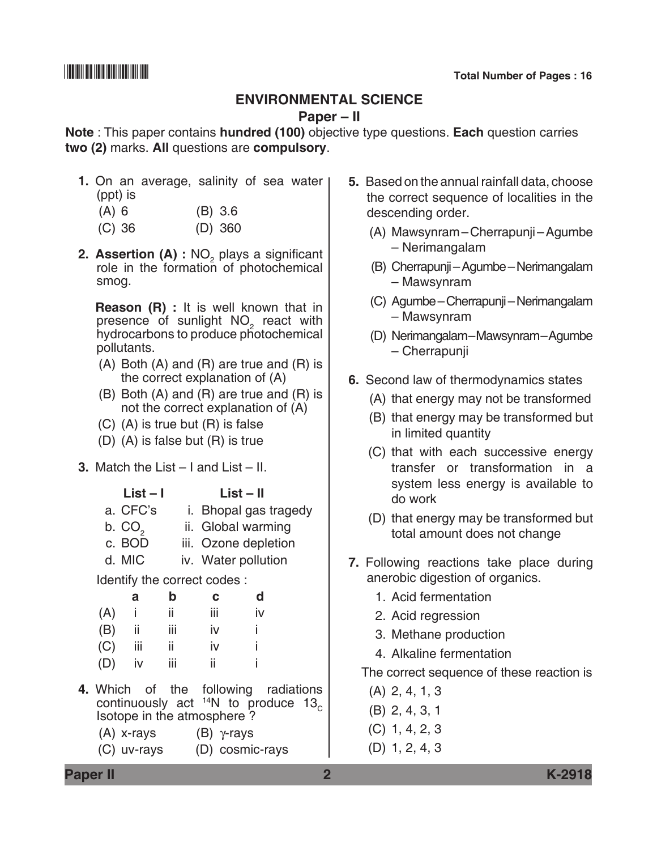### **Environmental Science**

### **Paper – II**

**Note** : This paper contains **hundred (100)** objective type questions. **Each** question carries **two (2)** marks. **All** questions are **compulsory**.

- **1.** On an average, salinity of sea water (ppt) is
	- (A) 6 (B) 3.6
	- (C) 36 (D) 360
- **2. Assertion (A) :** NO<sub>2</sub> plays a significant role in the formation of photochemical smog.

 **Reason (R) :** It is well known that in presence of sunlight  $NO<sub>2</sub>$  react with hydrocarbons to produce photochemical pollutants.

- (A) Both (A) and (R) are true and (R) is the correct explanation of (A)
- (B) Both (A) and (R) are true and (R) is not the correct explanation of (A)
- (C) (A) is true but (R) is false
- (D) (A) is false but (R) is true
- **3.** Match the List I and List II.

| List – I<br>$List - II$<br>a. CFC's<br>i. Bhopal gas tragedy<br>b. CO <sub>2</sub><br>ii. Global warming<br>c. BOD<br>iii. Ozone depletion<br>d. MIC<br>iv. Water pollution |     |        |      |     |    |  |  |  |
|-----------------------------------------------------------------------------------------------------------------------------------------------------------------------------|-----|--------|------|-----|----|--|--|--|
| ldentify the correct codes :                                                                                                                                                |     |        |      |     |    |  |  |  |
|                                                                                                                                                                             |     | a      | b    | C   | d  |  |  |  |
|                                                                                                                                                                             | (A) | j.     | - ii | iii | iv |  |  |  |
|                                                                                                                                                                             | (B) | ii.    | iii  | iv  | j  |  |  |  |
|                                                                                                                                                                             | (C) | iii ii |      | iv  | i  |  |  |  |
|                                                                                                                                                                             | (D) | iv     | iii  | ii  | i  |  |  |  |
| 4. Which of the following radiations<br>continuously act $14N$ to produce 13.<br>Isotope in the atmosphere?<br>(A) x-rays<br>$(B)$ $\gamma$ -rays                           |     |        |      |     |    |  |  |  |

(C) uv-rays (D) cosmic-rays

- **5.** Based on the annual rainfall data, choose the correct sequence of localities in the descending order.
	- (A) Mawsynram Cherrapunji Agumbe – Nerimangalam
	- (B) Cherrapunji Agumbe Nerimangalam – Mawsynram
	- (C) Agumbe cherrapunji Nerimangalam – Mawsynram
	- (D) Nerimangalam Mawsynram –Agumbe – Cherrapunji
- **6.** Second law of thermodynamics states
	- (A) that energy may not be transformed
	- (B) that energy may be transformed but in limited quantity
	- (C) that with each successive energy transfer or transformation in a system less energy is available to do work
	- (D) that energy may be transformed but total amount does not change
- **7.** Following reactions take place during anerobic digestion of organics.
	- 1. Acid fermentation
	- 2. Acid regression
	- 3. Methane production
	- 4. Alkaline fermentation

The correct sequence of these reaction is

(A) 2, 4, 1, 3 (B) 2, 4, 3, 1 (C) 1, 4, 2, 3 (D) 1, 2, 4, 3

**Paper II 2 K-2918**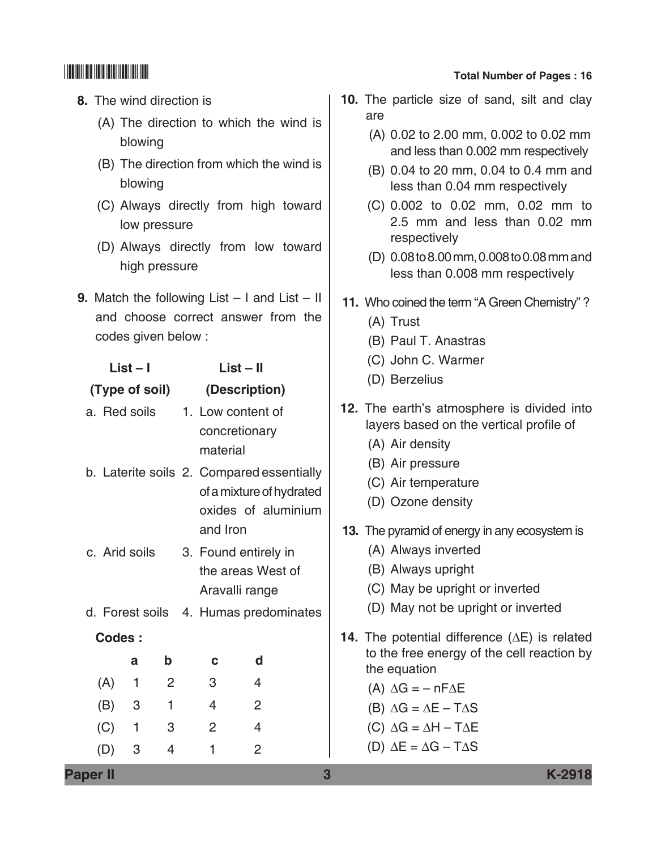- **8.** The wind direction is
	- (A) The direction to which the wind is blowing
	- (B) The direction from which the wind is blowing
	- (C) Always directly from high toward low pressure
	- (D) Always directly from low toward high pressure
- **9.** Match the following List I and List II and choose correct answer from the codes given below :

| List – I                                  | $List - II$          |                          |  |
|-------------------------------------------|----------------------|--------------------------|--|
| (Type of soil)                            |                      | (Description)            |  |
| a. Red soils                              | 1. Low content of    |                          |  |
|                                           | concretionary        |                          |  |
|                                           | material             |                          |  |
| b. Laterite soils 2. Compared essentially |                      |                          |  |
|                                           |                      | of a mixture of hydrated |  |
|                                           |                      | oxides of aluminium      |  |
|                                           | and Iron             |                          |  |
| c. Arid soils                             | 3. Found entirely in |                          |  |
|                                           |                      | the areas West of        |  |
|                                           | Aravalli range       |                          |  |
| d. Forest soils 4. Humas predominates     |                      |                          |  |
| Codes:                                    |                      |                          |  |
| b<br>a                                    | С                    | d                        |  |
| (A)<br>1<br>2                             | 3                    | 4                        |  |
| 1<br>(B)<br>3                             | 4                    | 2                        |  |
| $\mathbf{1}$<br>3<br>(C)                  | 2                    | $\overline{4}$           |  |
| 3<br>4<br>(D)                             | 1                    | 2                        |  |

- **10.** The particle size of sand, silt and clay are
	- (A) 0.02 to 2.00 mm, 0.002 to 0.02 mm and less than 0.002 mm respectively
	- (B) 0.04 to 20 mm, 0.04 to 0.4 mm and less than 0.04 mm respectively
	- (C) 0.002 to 0.02 mm, 0.02 mm to 2.5 mm and less than 0.02 mm respectively
	- (D) 0.08 to 8.00 mm, 0.008 to 0.08 mm and less than 0.008 mm respectively
- **11.** Who coined the term "A Green Chemistry"?
	- (A) Trust
	- (B) Paul T. Anastras
	- (C) John C. warmer
	- (D) Berzelius
- **12.** The earth's atmosphere is divided into layers based on the vertical profile of
	- (A) Air density
	- (B) Air pressure
	- (C) Air temperature
	- (D) Ozone density
- **13.** The pyramid of energy in any ecosystem is
	- (A) Always inverted
	- (B) Always upright
	- (C) May be upright or inverted
	- (D) May not be upright or inverted
- **14.** The potential difference (∆E) is related to the free energy of the cell reaction by the equation
	- (A)  $\Delta G = -nF\Delta E$
	- (B) ∆G = ∆E T∆S
	- (C) ∆G = ∆H T∆E
	- (D) ∆E = ∆G T∆S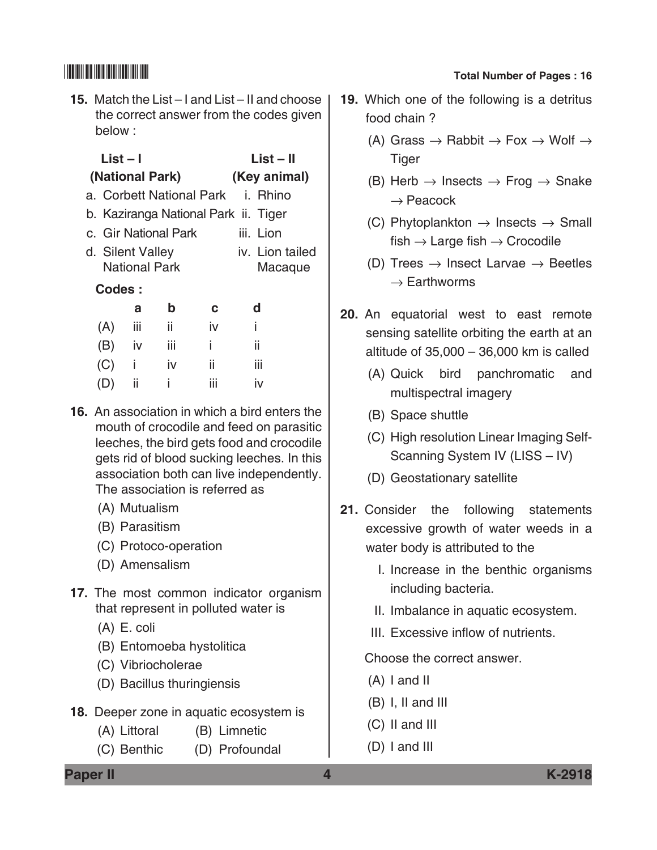**15.** Match the List – I and List – II and choose the correct answer from the codes given below :

| . .<br>۰. |
|-----------|
|-----------|

| $List - II$ |
|-------------|
|             |

 **(National park) (Key animal)**

- a. Corbett National Park i. Rhino
- b. Kaziranga National Park ii. Tiger
- c. Gir National Park iii. Lion
- d. Silent valley iv. Lion tailed National Park Macaque

### **Codes :**

|     | a   | b   | C   | d   |
|-----|-----|-----|-----|-----|
| (A) | iij | ii  | iv  | i.  |
| (B) | iv  | iij | Ť   | ii  |
| (C) | Î   | iv  | ii  | iij |
| (D) | Ħ   | î   | iij | iv  |

- **16.** An association in which a bird enters the mouth of crocodile and feed on parasitic leeches, the bird gets food and crocodile gets rid of blood sucking leeches. In this association both can live independently. The association is referred as
	- (A) Mutualism
	- (B) Parasitism
	- (C) Protoco-operation
	- (D) Amensalism
- **17.** The most common indicator organism that represent in polluted water is
	- (A) E. coli
	- (B) Entomoeba hystolitica
	- (C) Vibriocholerae
	- (D) Bacillus thuringiensis
- **18.** Deeper zone in aquatic ecosystem is
	- (A) Littoral (B) Limnetic
	- (C) Benthic (D) Profoundal

## \*K2918\* **Total Number of Pages : 16**

- **19.** Which one of the following is a detritus food chain ?
	- (A) Grass  $\rightarrow$  Rabbit  $\rightarrow$  Fox  $\rightarrow$  Wolf  $\rightarrow$ **Tiger**
	- (B) Herb  $\rightarrow$  Insects  $\rightarrow$  Frog  $\rightarrow$  Snake  $\rightarrow$  Peacock
	- (C) Phytoplankton  $\rightarrow$  Insects  $\rightarrow$  Small fish  $\rightarrow$  Large fish  $\rightarrow$  Crocodile
	- (D) Trees  $\rightarrow$  Insect Larvae  $\rightarrow$  Beetles  $\rightarrow$  Earthworms
- **20.** An equatorial west to east remote sensing satellite orbiting the earth at an altitude of 35,000 – 36,000 km is called
	- (A) Quick bird panchromatic and multispectral imagery
	- (B) Space shuttle
	- (C) High resolution Linear Imaging Self-Scanning System IV (LISS - IV)
	- (D) Geostationary satellite
- **21.** Consider the following statements excessive growth of water weeds in a water body is attributed to the
	- I. Increase in the benthic organisms including bacteria.
	- II. Imbalance in aquatic ecosystem.
	- III. Excessive inflow of nutrients.

Choose the correct answer.

- (A) I and II
- (B) I, II and III
- (C) II and III
- (D) I and III

**Paper II 4 K-2918**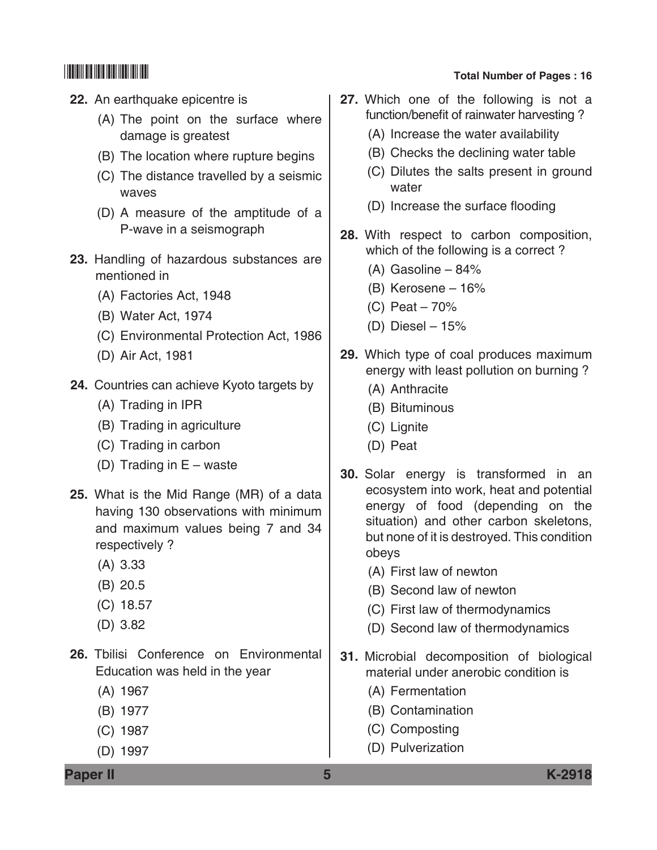- **22.** An earthquake epicentre is
	- (A) The point on the surface where damage is greatest
	- (B) The location where rupture begins
	- (C) The distance travelled by a seismic waves
	- (D) A measure of the amptitude of a p-wave in a seismograph
- **23.** Handling of hazardous substances are mentioned in
	- (A) Factories Act, 1948
	- (B) Water Act, 1974
	- (C) Environmental Protection Act, 1986
	- (D) Air act, 1981
- **24.** Countries can achieve Kyoto targets by
	- (A) Trading in IPR
	- (B) Trading in agriculture
	- (C) Trading in carbon
	- (D) Trading in E waste
- **25.** What is the Mid Range (MR) of a data having 130 observations with minimum and maximum values being 7 and 34 respectively ?
	- (A) 3.33
	- (B) 20.5
	- (C) 18.57
	- (D) 3.82
- **26.** Tbilisi conference on Environmental Education was held in the year
	- (A) 1967
	- (B) 1977
	- (C) 1987
	- (D) 1997

- **27.** Which one of the following is not a function/benefit of rainwater harvesting ?
	- (A) Increase the water availability
	- (B) Checks the declining water table
	- (C) Dilutes the salts present in ground water
	- (D) Increase the surface flooding
- **28.** With respect to carbon composition, which of the following is a correct?
	- (A) Gasoline 84%
	- (B) Kerosene 16%
	- (C) Peat 70%
	- (D) Diesel  $-15%$
- **29.** Which type of coal produces maximum energy with least pollution on burning ?
	- (A) Anthracite
	- (B) Bituminous
	- (C) Lignite
	- (D) Peat
- **30.** Solar energy is transformed in an ecosystem into work, heat and potential energy of food (depending on the situation) and other carbon skeletons, but none of it is destroyed. This condition obeys
	- (A) First law of newton
	- (B) Second law of newton
	- (C) First law of thermodynamics
	- (D) Second law of thermodynamics
- **31.** Microbial decomposition of biological material under anerobic condition is
	- (A) Fermentation
	- (B) Contamination
	- (C) Composting
	- (D) Pulverization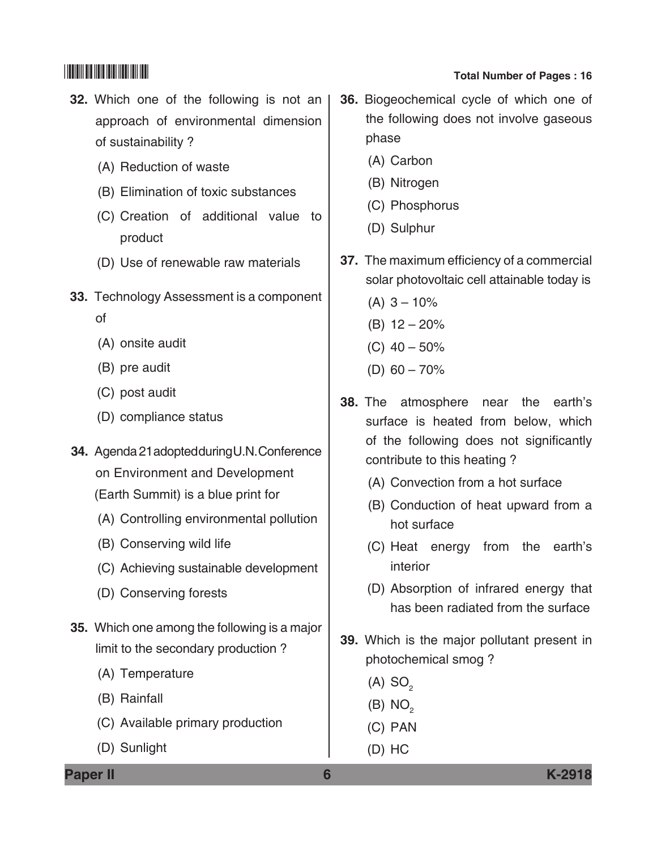- **32.** Which one of the following is not an approach of environmental dimension of sustainability ?
	- (A) Reduction of waste
	- (B) Elimination of toxic substances
	- (C) Creation of additional value to product
	- (D) Use of renewable raw materials
- **33.** Technology Assessment is a component of
	- (A) onsite audit
	- (B) pre audit
	- (C) post audit
	- (D) compliance status
- **34.** Agenda 21 adopted during U.N. Conference on Environment and Development (Earth Summit) is a blue print for
	- (A) Controlling environmental pollution
	- (B) Conserving wild life
	- (C) Achieving sustainable development
	- (D) Conserving forests
- **35.** Which one among the following is a major limit to the secondary production ?
	- (A) Temperature
	- (B) Rainfall
	- (C) Available primary production
	- (D) Sunlight
- **36.** Biogeochemical cycle of which one of the following does not involve gaseous phase
	- (A) Carbon
	- (B) Nitrogen
	- (C) Phosphorus
	- (D) Sulphur
- **37.** The maximum efficiency of a commercial solar photovoltaic cell attainable today is
	- $(A)$  3 10%
	- (B) 12 20%
	- (C)  $40 50\%$
	- (D)  $60 70\%$
- **38.** The atmosphere near the earth's surface is heated from below, which of the following does not significantly contribute to this heating ?
	- (A) Convection from a hot surface
	- (B) Conduction of heat upward from a hot surface
	- (C) Heat energy from the earth's interior
	- (D) Absorption of infrared energy that has been radiated from the surface
- **39.** Which is the major pollutant present in photochemical smog ?
	- $(A)$  SO<sub>2</sub>
	- $(B) NO<sub>2</sub>$
	- (C) PAN
	- (D) HC

**Paper II 6 K-2918**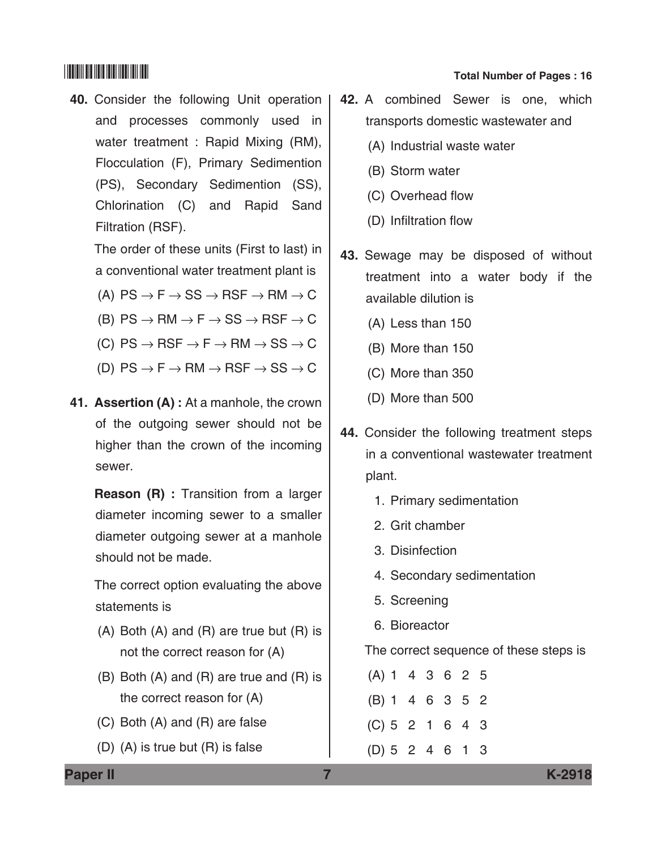**40.** Consider the following Unit operation and processes commonly used in water treatment : Rapid Mixing (RM), Flocculation (F), Primary Sedimention (PS), Secondary sedimention (SS), Chlorination (C) and Rapid Sand Filtration (RSF).

 The order of these units (First to last) in a conventional water treatment plant is

- (A)  $PS \rightarrow F \rightarrow SS \rightarrow RSF \rightarrow RM \rightarrow C$
- (B)  $PS \rightarrow RM \rightarrow F \rightarrow SS \rightarrow RSF \rightarrow C$
- (C)  $PS \to RSF \to F \to RM \to SS \to C$
- (D)  $PS \rightarrow F \rightarrow RM \rightarrow RSF \rightarrow SS \rightarrow C$
- **41. Assertion (A) :** At a manhole, the crown of the outgoing sewer should not be higher than the crown of the incoming sewer.

 **Reason (R) :** Transition from a larger diameter incoming sewer to a smaller diameter outgoing sewer at a manhole should not be made.

 The correct option evaluating the above statements is

- (A) Both (A) and (R) are true but (R) is not the correct reason for (A)
- (B) Both (A) and (R) are true and (R) is the correct reason for (A)
- (C) Both (A) and (R) are false
- (D) (A) is true but (R) is false

# \*K2918\* **Total Number of Pages : 16**

- **42.** A combined Sewer is one, which transports domestic wastewater and
	- (A) Industrial waste water
	- (B) Storm water
	- (C) Overhead flow
	- (D) Infiltration flow
- **43.** Sewage may be disposed of without treatment into a water body if the available dilution is
	- (A) Less than 150
	- (B) More than 150
	- (C) More than 350
	- (D) More than 500
- **44.** Consider the following treatment steps in a conventional wastewater treatment plant.
	- 1. Primary sedimentation
	- 2. Grit chamber
	- 3. Disinfection
	- 4. Secondary sedimentation
	- 5. Screening
	- 6. Bioreactor

The correct sequence of these steps is

(A) 1 4 3 6 2 5 (B) 1 4 6 3 5 2 (C) 5 2 1 6 4 3 (D) 5 2 4 6 1 3

**Paper II 7 K-2918**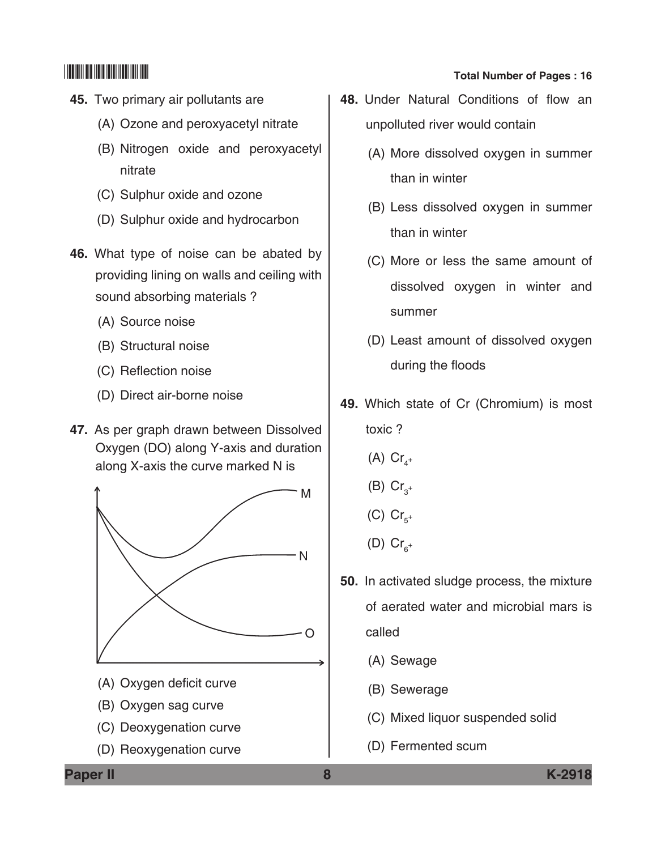- **45.** Two primary air pollutants are
	- (A) Ozone and peroxyacetyl nitrate
	- (B) Nitrogen oxide and peroxyacetyl nitrate
	- (C) Sulphur oxide and ozone
	- (D) Sulphur oxide and hydrocarbon
- **46.** What type of noise can be abated by providing lining on walls and ceiling with sound absorbing materials ?
	- (A) Source noise
	- (B) Structural noise
	- (C) Reflection noise
	- (D) Direct air-borne noise
- **47.** As per graph drawn between Dissolved oxygen (DO) along Y-axis and duration along X-axis the curve marked N is



- (A) Oxygen deficit curve
- (B) Oxygen sag curve
- (C) Deoxygenation curve
- (D) Reoxygenation curve
- **48.** Under Natural Conditions of flow an unpolluted river would contain
	- (A) More dissolved oxygen in summer than in winter
	- (B) Less dissolved oxygen in summer than in winter
	- (C) More or less the same amount of dissolved oxygen in winter and summer
	- (D) Least amount of dissolved oxygen during the floods
- **49.** Which state of Cr (Chromium) is most toxic ?
	- (A)  $Cr_{4}^+$
	- (B)  $Cr_{3^+}$
	- (C)  $Cr_{5^+}$
	- (D)  $Cr_{6^+}$
- **50.** In activated sludge process, the mixture of aerated water and microbial mars is called
	- (A) Sewage
	- (B) Sewerage
	- (C) Mixed liquor suspended solid
	- (D) Fermented scum

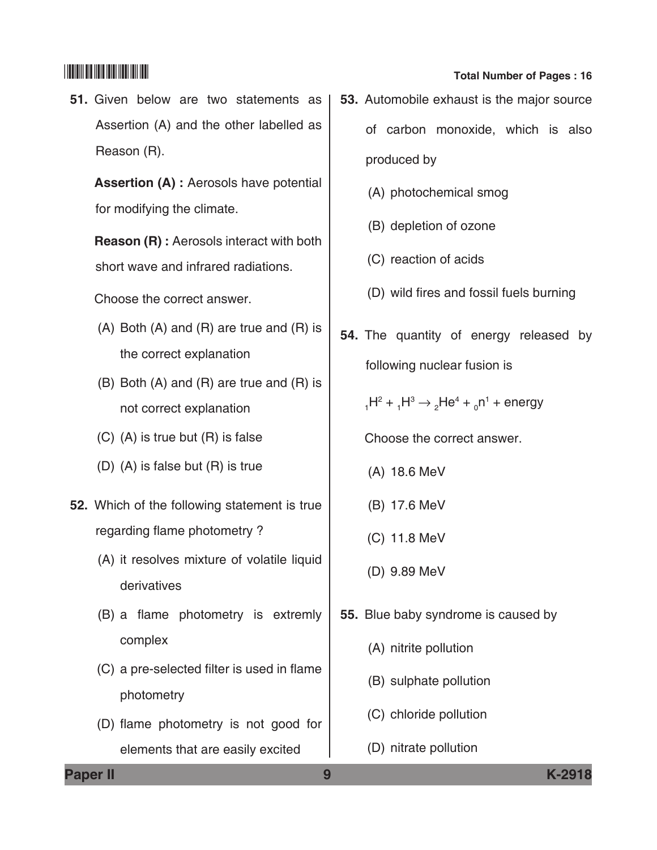**51.** Given below are two statements as Assertion (A) and the other labelled as Reason (R).

 **Assertion (A) :** Aerosols have potential for modifying the climate.

 **Reason (R) :** Aerosols interact with both short wave and infrared radiations.

Choose the correct answer.

- (A) Both (A) and (R) are true and (R) is the correct explanation
- (B) Both (A) and (R) are true and (R) is not correct explanation
- (C) (A) is true but (R) is false
- (D) (A) is false but (R) is true
- **52.** Which of the following statement is true regarding flame photometry ?
	- (A) it resolves mixture of volatile liquid derivatives
	- (B) a flame photometry is extremly complex
	- (C) a pre-selected filter is used in flame photometry
	- (D) flame photometry is not good for elements that are easily excited
- **53.** Automobile exhaust is the major source of carbon monoxide, which is also produced by
	- (A) photochemical smog
	- (B) depletion of ozone
	- (C) reaction of acids
	- (D) wild fires and fossil fuels burning
- **54.** The quantity of energy released by following nuclear fusion is

 $_1$ H $^2$  +  $_1$ H $^3$   $\rightarrow$   $_2$ He $^4$  +  $_0$ n $^1$  + energy

Choose the correct answer.

- (A) 18.6 Mev
- (B) 17.6 Mev
- (C) 11.8 Mev
- (D) 9.89 Mev
- **55.** Blue baby syndrome is caused by
	- (A) nitrite pollution
	- (B) sulphate pollution
	- (C) chloride pollution
	- (D) nitrate pollution

**Paper II 9 K-2918**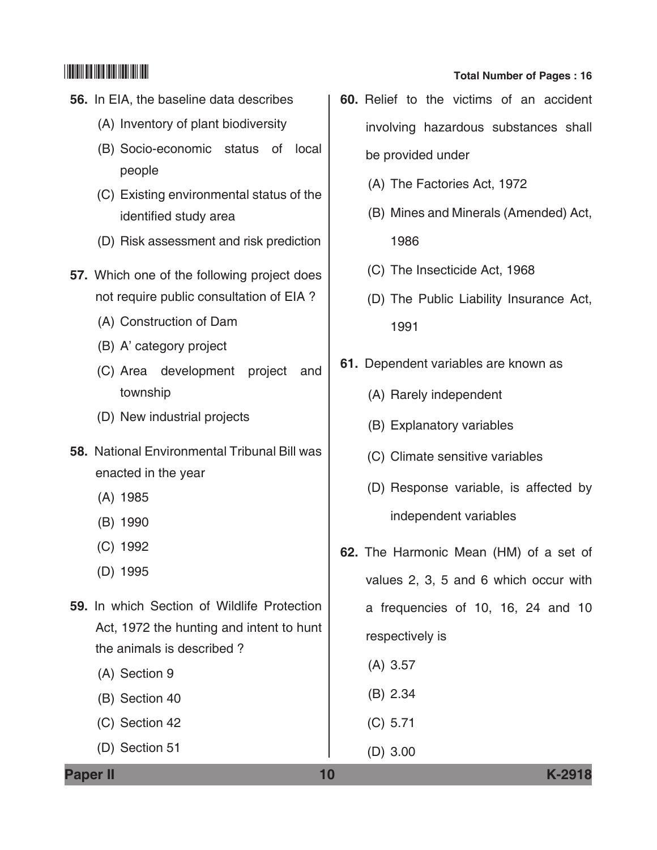- **56.** In EIA, the baseline data describes
	- (A) Inventory of plant biodiversity
	- (B) Socio-economic status of local people
	- (C) Existing environmental status of the identified study area
	- (D) Risk assessment and risk prediction
- **57.** Which one of the following project does not require public consultation of EIA ?
	- (A) Construction of Dam
	- (B) A' category project
	- (C) Area development project and township
	- (D) New industrial projects
- **58.** National Environmental Tribunal Bill was enacted in the year
	- (A) 1985
	- (B) 1990
	- (C) 1992
	- (D) 1995
- **59.** In which Section of Wildlife Protection Act, 1972 the hunting and intent to hunt the animals is described ?
	- (A) Section 9
	- (B) Section 40
	- (C) Section 42
	- (D) Section 51
- **60.** Relief to the victims of an accident involving hazardous substances shall be provided under
	- (A) The factories Act, 1972
	- (B) Mines and Minerals (Amended) Act, 1986
	- (C) The insecticide Act, 1968
	- (D) The Public Liability Insurance Act, 1991
- **61.** Dependent variables are known as
	- (A) Rarely independent
	- (B) Explanatory variables
	- (C) Climate sensitive variables
	- (D) Response variable, is affected by independent variables
- **62.** The Harmonic Mean (HM) of a set of values 2, 3, 5 and 6 which occur with a frequencies of 10, 16, 24 and 10 respectively is
	- (A) 3.57
	- (B) 2.34
	- (C) 5.71
	- (D) 3.00

**Paper II 10 K-2918**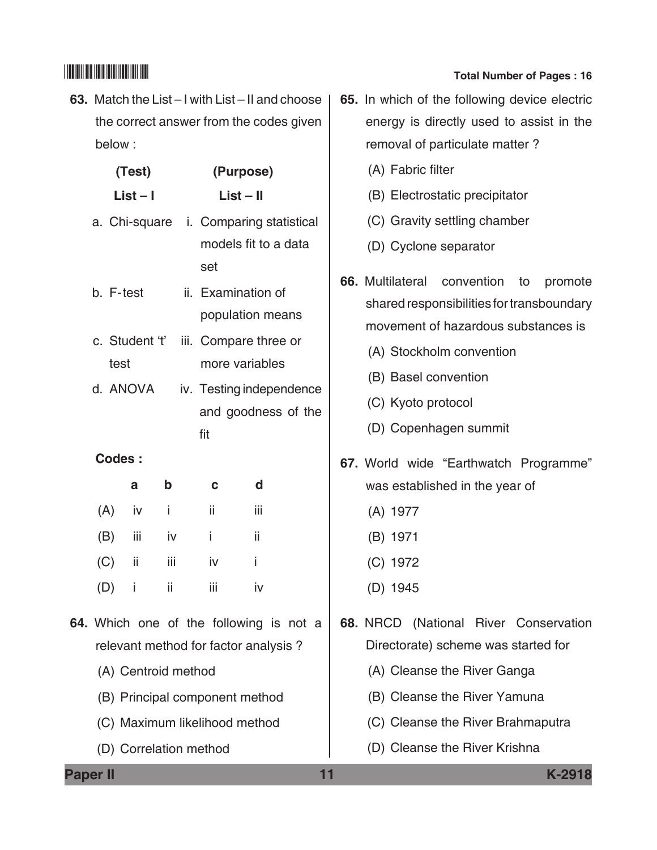**63.** Match the List – I with List – II and choose the correct answer from the codes given below :

|     |          | (Test)              |             |     |     | (Purpose)                                                      |  |            |
|-----|----------|---------------------|-------------|-----|-----|----------------------------------------------------------------|--|------------|
|     |          | $List - I$          |             |     |     | $List - II$                                                    |  |            |
|     |          |                     |             | set |     | a. Chi-square i. Comparing statistical<br>models fit to a data |  |            |
|     |          | b. F-test           |             |     |     | ii. Examination of                                             |  | $\epsilon$ |
|     |          |                     |             |     |     | population means                                               |  |            |
|     |          | c. Student 't'      |             |     |     | iii. Compare three or                                          |  |            |
|     | test     |                     |             |     |     | more variables                                                 |  |            |
|     |          | d. ANOVA            |             |     |     | iv. Testing independence                                       |  |            |
|     |          |                     |             |     |     | and goodness of the                                            |  |            |
|     |          |                     |             | fit |     |                                                                |  |            |
|     |          | <b>Codes:</b>       |             |     |     |                                                                |  | 6          |
|     |          | a                   | $\mathbf b$ |     | C   | d                                                              |  |            |
|     |          | $(A)$ iv i          |             |     | ii. | iij                                                            |  |            |
|     |          | $(B)$ iii           | iv          |     | i.  | ii                                                             |  |            |
|     | $(C)$ ii |                     | Ϊİ          |     | iv  | i.                                                             |  |            |
| (D) |          | -i                  | ii.         |     | iii | iv                                                             |  |            |
|     |          |                     |             |     |     | 64. Which one of the following is not a                        |  | 6          |
|     |          |                     |             |     |     | relevant method for factor analysis?                           |  |            |
|     |          | (A) Centroid method |             |     |     |                                                                |  |            |
|     |          |                     |             |     |     | (B) Principal component method                                 |  |            |
|     |          |                     |             |     |     | (C) Maximum likelihood method                                  |  |            |

(D) Correlation method

# \*K2918\* **Total Number of Pages : 16**

- **65.** In which of the following device electric energy is directly used to assist in the removal of particulate matter ?
	- (A) Fabric filter
	- (B) Electrostatic precipitator
	- (C) Gravity settling chamber
	- (D) Cyclone separator
- **66.** Multilateral convention to promote shared responsibilities for transboundary movement of hazardous substances is
	- (A) Stockholm convention
	- (B) Basel convention
	- (C) Kyoto protocol
	- (D) Copenhagen summit
- **67.** World wide "Earthwatch programme" was established in the year of
	- (A) 1977
	- (B) 1971
	- (C) 1972
	- (D) 1945

**68.** NRCD (National River conservation Directorate) scheme was started for

- (A) Cleanse the River Ganga
- (B) Cleanse the River Yamuna
- (C) Cleanse the River Brahmaputra
- (D) Cleanse the River Krishna

**Paper II 11 K-2918**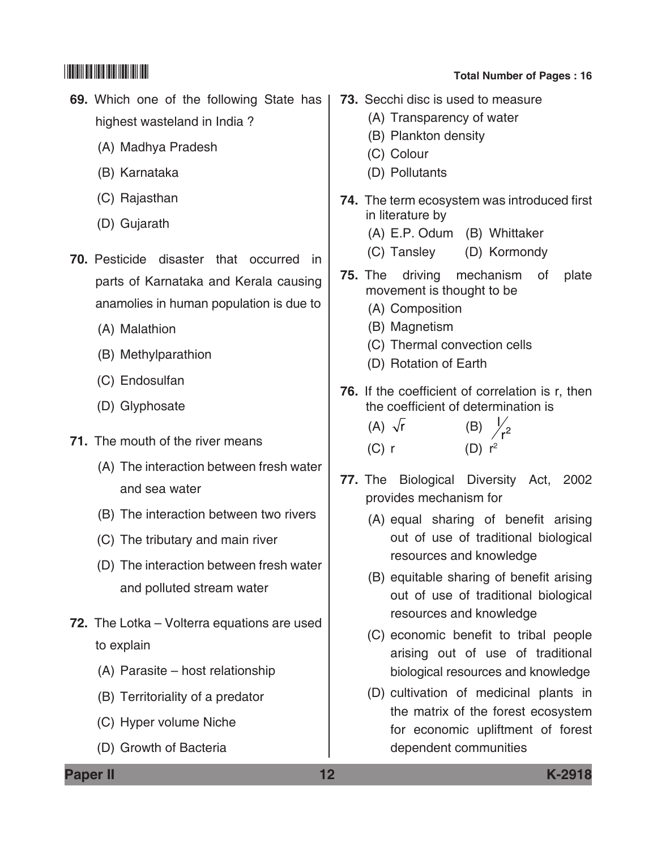**69.** Which one of the following State has highest wasteland in India ?

- (A) Madhya Pradesh
- (B) Karnataka
- (C) Rajasthan
- (D) Gujarath
- **70.** Pesticide disaster that occurred in parts of Karnataka and Kerala causing anamolies in human population is due to
	- (A) Malathion
	- (B) Methylparathion
	- (C) Endosulfan
	- (D) Glyphosate
- **71.** The mouth of the river means
	- (A) The interaction between fresh water and sea water
	- (B) The interaction between two rivers
	- (C) The tributary and main river
	- (D) The interaction between fresh water and polluted stream water
- **72.** The Lotka volterra equations are used to explain
	- (A) Parasite host relationship
	- (B) Territoriality of a predator
	- (C) Hyper volume Niche
	- (D) Growth of Bacteria

(C) Colour (D) Pollutants **74.** The term ecosystem was introduced first in literature by (A) E.P. odum (B) Whittaker (C) Tansley (D) Kormondy

**73.** Secchi disc is used to measure (A) Transparency of water

(B) Plankton density

- **75.** The driving mechanism of plate movement is thought to be
	- (A) Composition
	- (B) Magnetism
	- (C) Thermal convection cells
	- (D) Rotation of Earth
- **76.** If the coefficient of correlation is r, then the coefficient of determination is
	- (A)  $\sqrt{r}$  (B)  $\frac{1}{r^2}$ (C) r  $(D) r^2$
- **77.** The Biological Diversity Act, 2002 provides mechanism for
	- (A) equal sharing of benefit arising out of use of traditional biological resources and knowledge
	- (B) equitable sharing of benefit arising out of use of traditional biological resources and knowledge
	- (C) economic benefit to tribal people arising out of use of traditional biological resources and knowledge
	- (D) cultivation of medicinal plants in the matrix of the forest ecosystem for economic upliftment of forest dependent communities

**Paper II 12 K-2918**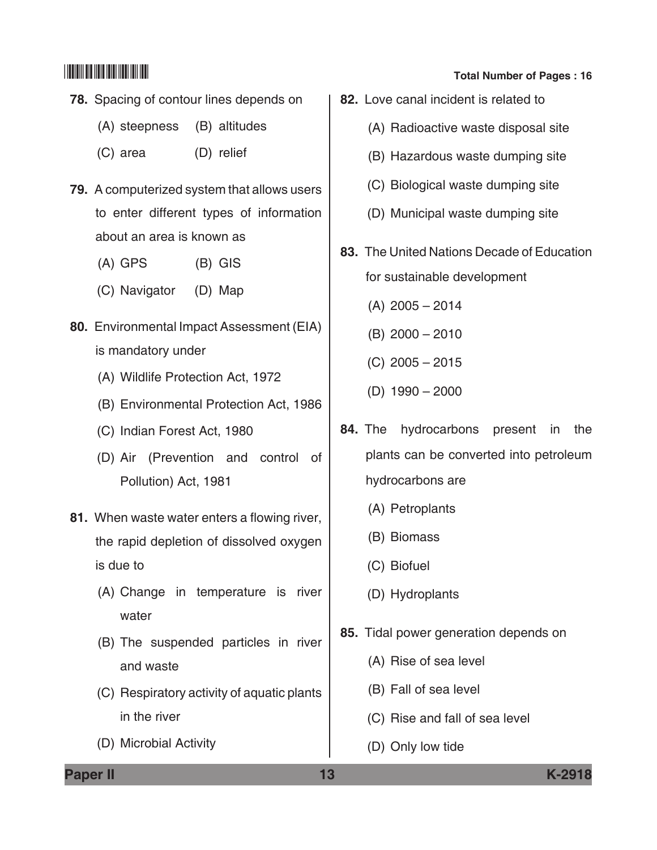- **78.** Spacing of contour lines depends on
	- (A) steepness (B) altitudes
	- (C) area (D) relief
- **79.** A computerized system that allows users to enter different types of information about an area is known as
	- (A) GPS (B) GIS
	- (C) Navigator (D) Map
- **80.** Environmental Impact Assessment (EIA) is mandatory under
	- (A) Wildlife protection Act, 1972
	- (B) Environmental Protection Act, 1986
	- (C) Indian forest Act, 1980
	- (D) Air (Prevention and control of pollution) Act, 1981
- **81.** When waste water enters a flowing river, the rapid depletion of dissolved oxygen is due to
	- (A) Change in temperature is river water
	- (B) The suspended particles in river and waste
	- (C) Respiratory activity of aquatic plants in the river
	- (D) Microbial Activity

- **82.** Love canal incident is related to
	- (A) Radioactive waste disposal site
	- (B) Hazardous waste dumping site
	- (C) Biological waste dumping site
	- (D) Municipal waste dumping site
- **83.** The United Nations Decade of Education for sustainable development
	- (A) 2005 2014
	- (B) 2000 2010
	- (C) 2005 2015
	- (D) 1990 2000
- **84.** The hydrocarbons present in the plants can be converted into petroleum hydrocarbons are
	- (A) Petroplants
	- (B) Biomass
	- (C) Biofuel
	- (D) Hydroplants
- **85.** Tidal power generation depends on
	- (A) Rise of sea level
	- (B) Fall of sea level
	- (C) Rise and fall of sea level
	- (D) Only low tide

**Paper II 13 K-2918**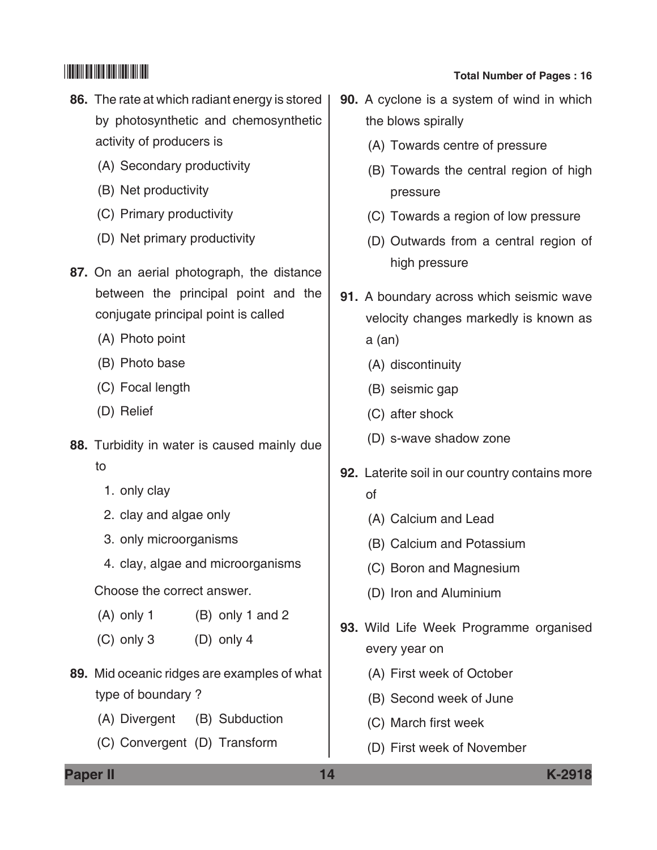- **86.** The rate at which radiant energy is stored by photosynthetic and chemosynthetic activity of producers is
	- (A) Secondary productivity
	- (B) Net productivity
	- (C) Primary productivity
	- (D) Net primary productivity
- **87.** On an aerial photograph, the distance between the principal point and the conjugate principal point is called
	- (A) Photo point
	- (B) Photo base
	- (C) Focal length
	- (D) Relief
- **88.** Turbidity in water is caused mainly due to
	- 1. only clay
	- 2. clay and algae only
	- 3. only microorganisms
	- 4. clay, algae and microorganisms

Choose the correct answer.

- $(A)$  only 1 (B) only 1 and 2
- $(C)$  only 3  $(D)$  only 4
- **89.** Mid oceanic ridges are examples of what type of boundary ?
	- (A) Divergent (B) Subduction
	- (C) Convergent (D) Transform

- **90.** A cyclone is a system of wind in which the blows spirally
	- (A) Towards centre of pressure
	- (B) Towards the central region of high pressure
	- (C) Towards a region of low pressure
	- (D) Outwards from a central region of high pressure
- **91.** A boundary across which seismic wave velocity changes markedly is known as a (an)
	- (A) discontinuity
	- (B) seismic gap
	- (C) after shock
	- (D) s-wave shadow zone
- **92.** Laterite soil in our country contains more of
	- (A) Calcium and lead
	- (B) Calcium and potassium
	- (C) Boron and Magnesium
	- (D) Iron and Aluminium
- **93.** Wild Life Week Programme organised every year on
	- (A) First week of October
	- (B) Second week of June
	- (C) March first week
	- (D) First week of November

**Paper II 14 K-2918**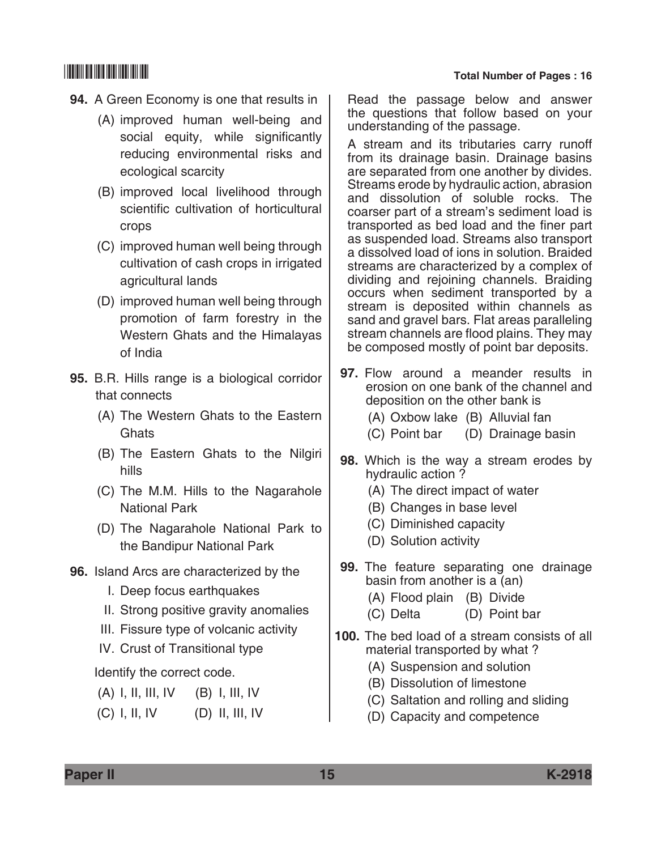- **94.** A Green Economy is one that results in
	- (A) improved human well-being and social equity, while significantly reducing environmental risks and ecological scarcity
	- (B) improved local livelihood through scientific cultivation of horticultural crops
	- (C) improved human well being through cultivation of cash crops in irrigated agricultural lands
	- (D) improved human well being through promotion of farm forestry in the Western Ghats and the Himalayas of India
- **95.** B.R. Hills range is a biological corridor that connects
	- (A) The Western Ghats to the Eastern **Ghats**
	- (B) The Eastern Ghats to the Nilgiri hills
	- (C) The M.M. Hills to the Nagarahole National Park
	- (D) The Nagarahole National Park to the Bandipur National Park
- **96.** Island Arcs are characterized by the
	- I. Deep focus earthquakes
	- II. Strong positive gravity anomalies
	- III. Fissure type of volcanic activity
	- IV. Crust of Transitional type

Identify the correct code.

- (A) I, II, III, IV (B) I, III, IV
- $(C)$  I, II, IV  $(D)$  II, III, IV

Read the passage below and answer the questions that follow based on your understanding of the passage.

A stream and its tributaries carry runoff from its drainage basin. Drainage basins are separated from one another by divides. Streams erode by hydraulic action, abrasion and dissolution of soluble rocks. The coarser part of a stream's sediment load is transported as bed load and the finer part as suspended load. Streams also transport a dissolved load of ions in solution. Braided streams are characterized by a complex of dividing and rejoining channels. Braiding occurs when sediment transported by a stream is deposited within channels as sand and gravel bars. Flat areas paralleling stream channels are flood plains. They may be composed mostly of point bar deposits.

- **97.** Flow around a meander results in erosion on one bank of the channel and deposition on the other bank is
	- (A) Oxbow lake (B) Alluvial fan
	- (C) Point bar (D) Drainage basin
- **98.** Which is the way a stream erodes by hydraulic action ?
	- (A) The direct impact of water
	- (B) Changes in base level
	- (C) Diminished capacity
	- (D) Solution activity
- **99.** The feature separating one drainage basin from another is a (an)
	- (A) Flood plain (B) Divide
	- (C) Delta (D) Point bar
- **100.** The bed load of a stream consists of all material transported by what ?
	- (A) Suspension and solution
	- (B) Dissolution of limestone
	- (C) Saltation and rolling and sliding
	- (D) Capacity and competence